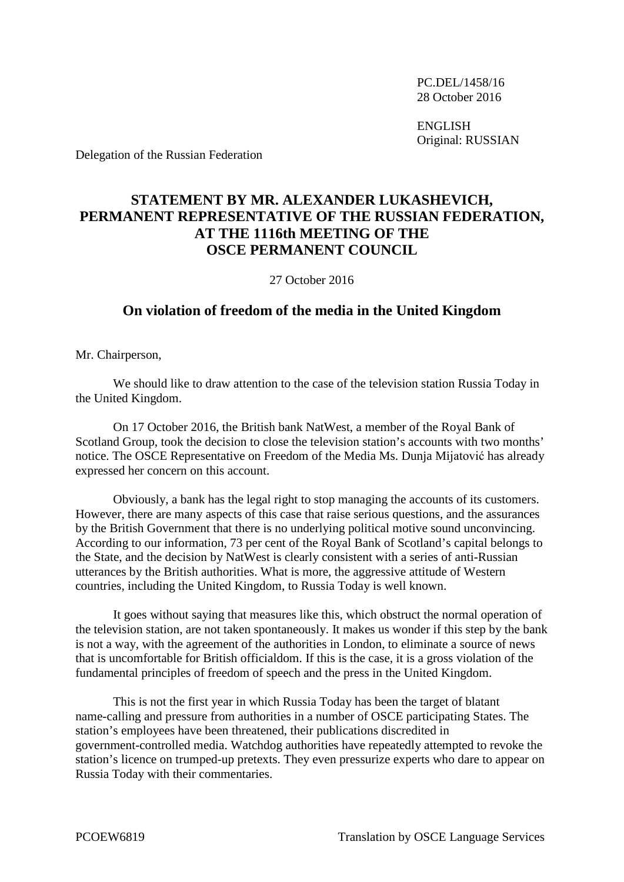PC.DEL/1458/16 28 October 2016

ENGLISH Original: RUSSIAN

Delegation of the Russian Federation

## **STATEMENT BY MR. ALEXANDER LUKASHEVICH, PERMANENT REPRESENTATIVE OF THE RUSSIAN FEDERATION, AT THE 1116th MEETING OF THE OSCE PERMANENT COUNCIL**

27 October 2016

## **On violation of freedom of the media in the United Kingdom**

Mr. Chairperson,

We should like to draw attention to the case of the television station Russia Today in the United Kingdom.

On 17 October 2016, the British bank NatWest, a member of the Royal Bank of Scotland Group, took the decision to close the television station's accounts with two months' notice. The OSCE Representative on Freedom of the Media Ms. Dunja Mijatović has already expressed her concern on this account.

Obviously, a bank has the legal right to stop managing the accounts of its customers. However, there are many aspects of this case that raise serious questions, and the assurances by the British Government that there is no underlying political motive sound unconvincing. According to our information, 73 per cent of the Royal Bank of Scotland's capital belongs to the State, and the decision by NatWest is clearly consistent with a series of anti-Russian utterances by the British authorities. What is more, the aggressive attitude of Western countries, including the United Kingdom, to Russia Today is well known.

It goes without saying that measures like this, which obstruct the normal operation of the television station, are not taken spontaneously. It makes us wonder if this step by the bank is not a way, with the agreement of the authorities in London, to eliminate a source of news that is uncomfortable for British officialdom. If this is the case, it is a gross violation of the fundamental principles of freedom of speech and the press in the United Kingdom.

This is not the first year in which Russia Today has been the target of blatant name-calling and pressure from authorities in a number of OSCE participating States. The station's employees have been threatened, their publications discredited in government-controlled media. Watchdog authorities have repeatedly attempted to revoke the station's licence on trumped-up pretexts. They even pressurize experts who dare to appear on Russia Today with their commentaries.